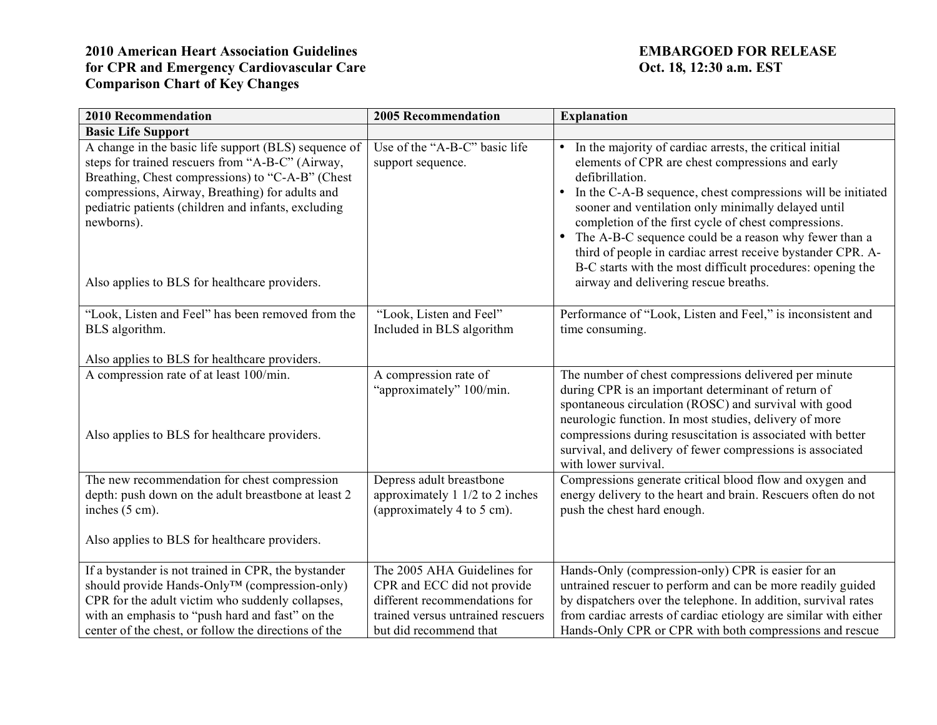| <b>2010 Recommendation</b>                                                                                                                                                                                                                                                                                                            | <b>2005 Recommendation</b>                                                                                                                                 | <b>Explanation</b>                                                                                                                                                                                                                                                                                                                                                                                                                                                                                                                                                       |
|---------------------------------------------------------------------------------------------------------------------------------------------------------------------------------------------------------------------------------------------------------------------------------------------------------------------------------------|------------------------------------------------------------------------------------------------------------------------------------------------------------|--------------------------------------------------------------------------------------------------------------------------------------------------------------------------------------------------------------------------------------------------------------------------------------------------------------------------------------------------------------------------------------------------------------------------------------------------------------------------------------------------------------------------------------------------------------------------|
| <b>Basic Life Support</b>                                                                                                                                                                                                                                                                                                             |                                                                                                                                                            |                                                                                                                                                                                                                                                                                                                                                                                                                                                                                                                                                                          |
| A change in the basic life support (BLS) sequence of<br>steps for trained rescuers from "A-B-C" (Airway,<br>Breathing, Chest compressions) to "C-A-B" (Chest<br>compressions, Airway, Breathing) for adults and<br>pediatric patients (children and infants, excluding<br>newborns).<br>Also applies to BLS for healthcare providers. | Use of the "A-B-C" basic life<br>support sequence.                                                                                                         | In the majority of cardiac arrests, the critical initial<br>$\bullet$<br>elements of CPR are chest compressions and early<br>defibrillation.<br>In the C-A-B sequence, chest compressions will be initiated<br>$\bullet$<br>sooner and ventilation only minimally delayed until<br>completion of the first cycle of chest compressions.<br>• The A-B-C sequence could be a reason why fewer than a<br>third of people in cardiac arrest receive bystander CPR. A-<br>B-C starts with the most difficult procedures: opening the<br>airway and delivering rescue breaths. |
| "Look, Listen and Feel" has been removed from the<br>BLS algorithm.<br>Also applies to BLS for healthcare providers.                                                                                                                                                                                                                  | "Look, Listen and Feel"<br>Included in BLS algorithm                                                                                                       | Performance of "Look, Listen and Feel," is inconsistent and<br>time consuming.                                                                                                                                                                                                                                                                                                                                                                                                                                                                                           |
| A compression rate of at least 100/min.<br>Also applies to BLS for healthcare providers.                                                                                                                                                                                                                                              | A compression rate of<br>"approximately" 100/min.                                                                                                          | The number of chest compressions delivered per minute<br>during CPR is an important determinant of return of<br>spontaneous circulation (ROSC) and survival with good<br>neurologic function. In most studies, delivery of more<br>compressions during resuscitation is associated with better<br>survival, and delivery of fewer compressions is associated<br>with lower survival.                                                                                                                                                                                     |
| The new recommendation for chest compression<br>depth: push down on the adult breastbone at least 2<br>inches (5 cm).<br>Also applies to BLS for healthcare providers.                                                                                                                                                                | Depress adult breastbone<br>approximately $1 \frac{1}{2}$ to $2$ inches<br>(approximately 4 to 5 cm).                                                      | Compressions generate critical blood flow and oxygen and<br>energy delivery to the heart and brain. Rescuers often do not<br>push the chest hard enough.                                                                                                                                                                                                                                                                                                                                                                                                                 |
| If a bystander is not trained in CPR, the bystander<br>should provide Hands-Only™ (compression-only)<br>CPR for the adult victim who suddenly collapses,<br>with an emphasis to "push hard and fast" on the<br>center of the chest, or follow the directions of the                                                                   | The 2005 AHA Guidelines for<br>CPR and ECC did not provide<br>different recommendations for<br>trained versus untrained rescuers<br>but did recommend that | Hands-Only (compression-only) CPR is easier for an<br>untrained rescuer to perform and can be more readily guided<br>by dispatchers over the telephone. In addition, survival rates<br>from cardiac arrests of cardiac etiology are similar with either<br>Hands-Only CPR or CPR with both compressions and rescue                                                                                                                                                                                                                                                       |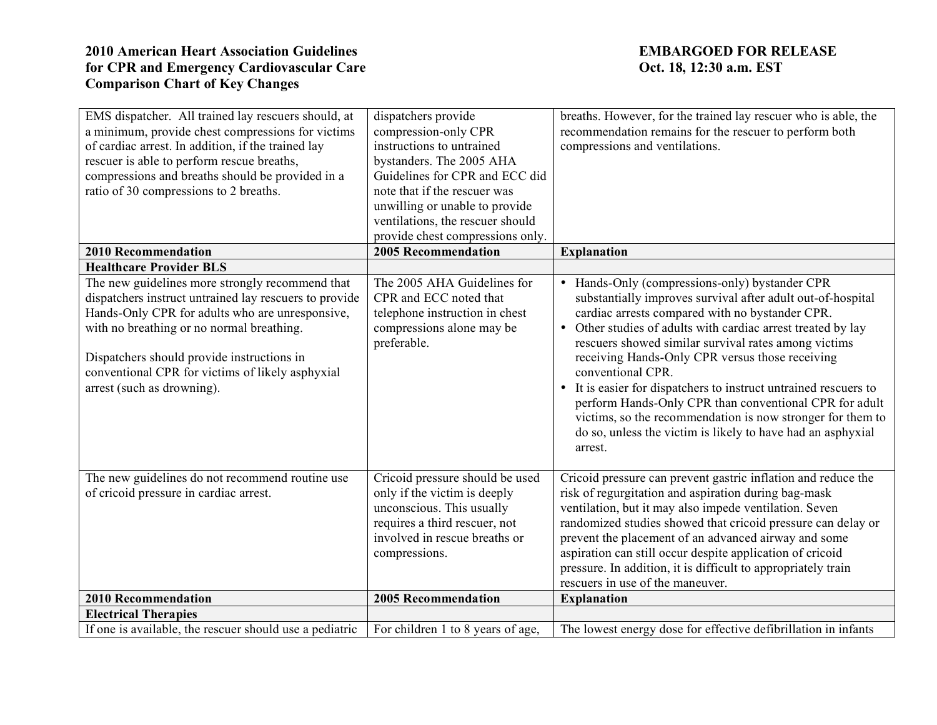| EMS dispatcher. All trained lay rescuers should, at<br>a minimum, provide chest compressions for victims<br>of cardiac arrest. In addition, if the trained lay<br>rescuer is able to perform rescue breaths,<br>compressions and breaths should be provided in a<br>ratio of 30 compressions to 2 breaths.                                | dispatchers provide<br>compression-only CPR<br>instructions to untrained<br>bystanders. The 2005 AHA<br>Guidelines for CPR and ECC did<br>note that if the rescuer was<br>unwilling or unable to provide<br>ventilations, the rescuer should<br>provide chest compressions only. | breaths. However, for the trained lay rescuer who is able, the<br>recommendation remains for the rescuer to perform both<br>compressions and ventilations.                                                                                                                                                                                                                                                                                                                                                                                                                                                                           |
|-------------------------------------------------------------------------------------------------------------------------------------------------------------------------------------------------------------------------------------------------------------------------------------------------------------------------------------------|----------------------------------------------------------------------------------------------------------------------------------------------------------------------------------------------------------------------------------------------------------------------------------|--------------------------------------------------------------------------------------------------------------------------------------------------------------------------------------------------------------------------------------------------------------------------------------------------------------------------------------------------------------------------------------------------------------------------------------------------------------------------------------------------------------------------------------------------------------------------------------------------------------------------------------|
| <b>2010 Recommendation</b>                                                                                                                                                                                                                                                                                                                | <b>2005 Recommendation</b>                                                                                                                                                                                                                                                       | <b>Explanation</b>                                                                                                                                                                                                                                                                                                                                                                                                                                                                                                                                                                                                                   |
| <b>Healthcare Provider BLS</b>                                                                                                                                                                                                                                                                                                            |                                                                                                                                                                                                                                                                                  |                                                                                                                                                                                                                                                                                                                                                                                                                                                                                                                                                                                                                                      |
| The new guidelines more strongly recommend that<br>dispatchers instruct untrained lay rescuers to provide<br>Hands-Only CPR for adults who are unresponsive,<br>with no breathing or no normal breathing.<br>Dispatchers should provide instructions in<br>conventional CPR for victims of likely asphyxial<br>arrest (such as drowning). | The 2005 AHA Guidelines for<br>CPR and ECC noted that<br>telephone instruction in chest<br>compressions alone may be<br>preferable.                                                                                                                                              | Hands-Only (compressions-only) bystander CPR<br>substantially improves survival after adult out-of-hospital<br>cardiac arrests compared with no bystander CPR.<br>• Other studies of adults with cardiac arrest treated by lay<br>rescuers showed similar survival rates among victims<br>receiving Hands-Only CPR versus those receiving<br>conventional CPR.<br>• It is easier for dispatchers to instruct untrained rescuers to<br>perform Hands-Only CPR than conventional CPR for adult<br>victims, so the recommendation is now stronger for them to<br>do so, unless the victim is likely to have had an asphyxial<br>arrest. |
| The new guidelines do not recommend routine use<br>of cricoid pressure in cardiac arrest.                                                                                                                                                                                                                                                 | Cricoid pressure should be used<br>only if the victim is deeply<br>unconscious. This usually<br>requires a third rescuer, not<br>involved in rescue breaths or<br>compressions.                                                                                                  | Cricoid pressure can prevent gastric inflation and reduce the<br>risk of regurgitation and aspiration during bag-mask<br>ventilation, but it may also impede ventilation. Seven<br>randomized studies showed that cricoid pressure can delay or<br>prevent the placement of an advanced airway and some<br>aspiration can still occur despite application of cricoid<br>pressure. In addition, it is difficult to appropriately train<br>rescuers in use of the maneuver.                                                                                                                                                            |
| <b>2010 Recommendation</b>                                                                                                                                                                                                                                                                                                                | <b>2005 Recommendation</b>                                                                                                                                                                                                                                                       | <b>Explanation</b>                                                                                                                                                                                                                                                                                                                                                                                                                                                                                                                                                                                                                   |
| <b>Electrical Therapies</b>                                                                                                                                                                                                                                                                                                               |                                                                                                                                                                                                                                                                                  |                                                                                                                                                                                                                                                                                                                                                                                                                                                                                                                                                                                                                                      |
| If one is available, the rescuer should use a pediatric                                                                                                                                                                                                                                                                                   | For children 1 to 8 years of age,                                                                                                                                                                                                                                                | The lowest energy dose for effective defibrillation in infants                                                                                                                                                                                                                                                                                                                                                                                                                                                                                                                                                                       |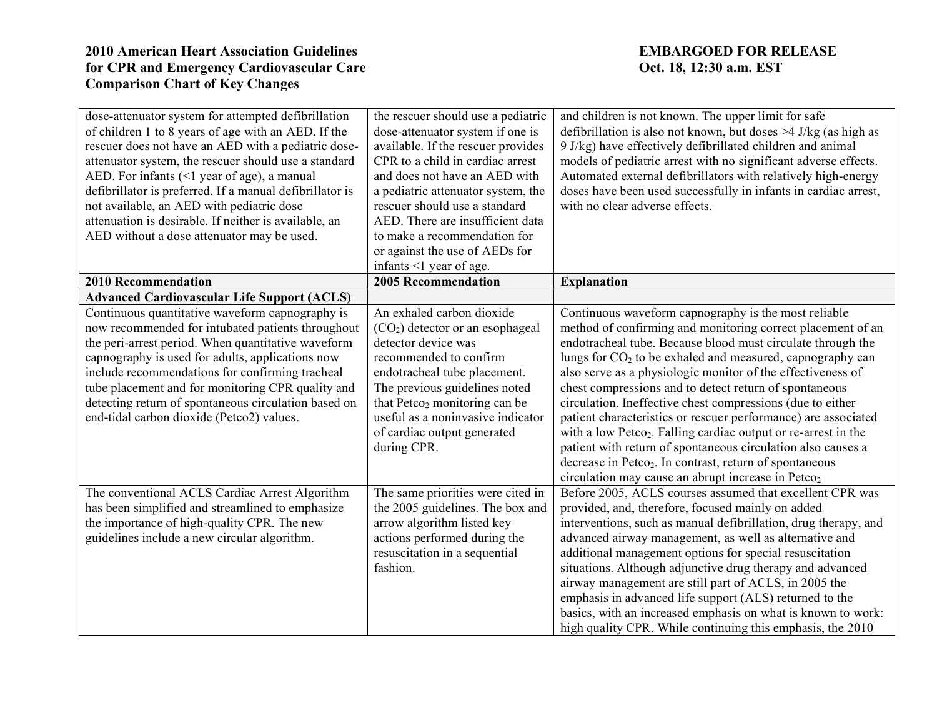| dose-attenuator system for attempted defibrillation<br>of children 1 to 8 years of age with an AED. If the<br>rescuer does not have an AED with a pediatric dose-<br>attenuator system, the rescuer should use a standard<br>AED. For infants (<1 year of age), a manual<br>defibrillator is preferred. If a manual defibrillator is<br>not available, an AED with pediatric dose<br>attenuation is desirable. If neither is available, an<br>AED without a dose attenuator may be used. | the rescuer should use a pediatric<br>dose-attenuator system if one is<br>available. If the rescuer provides<br>CPR to a child in cardiac arrest<br>and does not have an AED with<br>a pediatric attenuator system, the<br>rescuer should use a standard<br>AED. There are insufficient data<br>to make a recommendation for<br>or against the use of AEDs for<br>infants <1 year of age. | and children is not known. The upper limit for safe<br>defibrillation is also not known, but doses $>4$ J/kg (as high as<br>9 J/kg) have effectively defibrillated children and animal<br>models of pediatric arrest with no significant adverse effects.<br>Automated external defibrillators with relatively high-energy<br>doses have been used successfully in infants in cardiac arrest,<br>with no clear adverse effects.                                                                                                                                                                                                                                                                                                                                                                   |
|------------------------------------------------------------------------------------------------------------------------------------------------------------------------------------------------------------------------------------------------------------------------------------------------------------------------------------------------------------------------------------------------------------------------------------------------------------------------------------------|-------------------------------------------------------------------------------------------------------------------------------------------------------------------------------------------------------------------------------------------------------------------------------------------------------------------------------------------------------------------------------------------|---------------------------------------------------------------------------------------------------------------------------------------------------------------------------------------------------------------------------------------------------------------------------------------------------------------------------------------------------------------------------------------------------------------------------------------------------------------------------------------------------------------------------------------------------------------------------------------------------------------------------------------------------------------------------------------------------------------------------------------------------------------------------------------------------|
| <b>2010 Recommendation</b>                                                                                                                                                                                                                                                                                                                                                                                                                                                               | 2005 Recommendation                                                                                                                                                                                                                                                                                                                                                                       | <b>Explanation</b>                                                                                                                                                                                                                                                                                                                                                                                                                                                                                                                                                                                                                                                                                                                                                                                |
| <b>Advanced Cardiovascular Life Support (ACLS)</b>                                                                                                                                                                                                                                                                                                                                                                                                                                       |                                                                                                                                                                                                                                                                                                                                                                                           |                                                                                                                                                                                                                                                                                                                                                                                                                                                                                                                                                                                                                                                                                                                                                                                                   |
| Continuous quantitative waveform capnography is<br>now recommended for intubated patients throughout<br>the peri-arrest period. When quantitative waveform<br>capnography is used for adults, applications now<br>include recommendations for confirming tracheal<br>tube placement and for monitoring CPR quality and<br>detecting return of spontaneous circulation based on<br>end-tidal carbon dioxide (Petco2) values.                                                              | An exhaled carbon dioxide<br>$(CO2)$ detector or an esophageal<br>detector device was<br>recommended to confirm<br>endotracheal tube placement.<br>The previous guidelines noted<br>that Petco <sub>2</sub> monitoring can be<br>useful as a noninvasive indicator<br>of cardiac output generated<br>during CPR.                                                                          | Continuous waveform capnography is the most reliable<br>method of confirming and monitoring correct placement of an<br>endotracheal tube. Because blood must circulate through the<br>lungs for $CO2$ to be exhaled and measured, capnography can<br>also serve as a physiologic monitor of the effectiveness of<br>chest compressions and to detect return of spontaneous<br>circulation. Ineffective chest compressions (due to either<br>patient characteristics or rescuer performance) are associated<br>with a low Petco <sub>2</sub> . Falling cardiac output or re-arrest in the<br>patient with return of spontaneous circulation also causes a<br>decrease in Petco <sub>2</sub> . In contrast, return of spontaneous<br>circulation may cause an abrupt increase in Petco <sub>2</sub> |
| The conventional ACLS Cardiac Arrest Algorithm<br>has been simplified and streamlined to emphasize<br>the importance of high-quality CPR. The new<br>guidelines include a new circular algorithm.                                                                                                                                                                                                                                                                                        | The same priorities were cited in<br>the 2005 guidelines. The box and<br>arrow algorithm listed key<br>actions performed during the<br>resuscitation in a sequential<br>fashion.                                                                                                                                                                                                          | Before 2005, ACLS courses assumed that excellent CPR was<br>provided, and, therefore, focused mainly on added<br>interventions, such as manual defibrillation, drug therapy, and<br>advanced airway management, as well as alternative and<br>additional management options for special resuscitation<br>situations. Although adjunctive drug therapy and advanced<br>airway management are still part of ACLS, in 2005 the<br>emphasis in advanced life support (ALS) returned to the<br>basics, with an increased emphasis on what is known to work:<br>high quality CPR. While continuing this emphasis, the 2010                                                                                                                                                                              |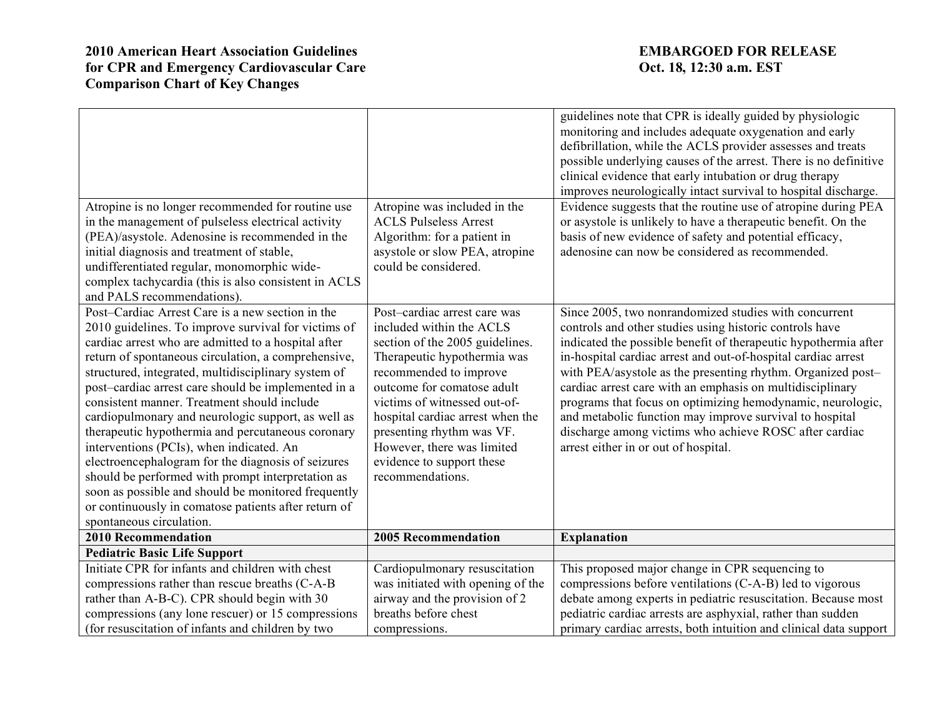| Atropine is no longer recommended for routine use<br>in the management of pulseless electrical activity<br>(PEA)/asystole. Adenosine is recommended in the<br>initial diagnosis and treatment of stable,<br>undifferentiated regular, monomorphic wide-<br>complex tachycardia (this is also consistent in ACLS                                                                                                                                                                                                                                                                                                                                                                                                                                                                                                               | Atropine was included in the<br><b>ACLS Pulseless Arrest</b><br>Algorithm: for a patient in<br>asystole or slow PEA, atropine<br>could be considered.                                                                                                                                                                                                              | guidelines note that CPR is ideally guided by physiologic<br>monitoring and includes adequate oxygenation and early<br>defibrillation, while the ACLS provider assesses and treats<br>possible underlying causes of the arrest. There is no definitive<br>clinical evidence that early intubation or drug therapy<br>improves neurologically intact survival to hospital discharge.<br>Evidence suggests that the routine use of atropine during PEA<br>or asystole is unlikely to have a therapeutic benefit. On the<br>basis of new evidence of safety and potential efficacy,<br>adenosine can now be considered as recommended. |
|-------------------------------------------------------------------------------------------------------------------------------------------------------------------------------------------------------------------------------------------------------------------------------------------------------------------------------------------------------------------------------------------------------------------------------------------------------------------------------------------------------------------------------------------------------------------------------------------------------------------------------------------------------------------------------------------------------------------------------------------------------------------------------------------------------------------------------|--------------------------------------------------------------------------------------------------------------------------------------------------------------------------------------------------------------------------------------------------------------------------------------------------------------------------------------------------------------------|-------------------------------------------------------------------------------------------------------------------------------------------------------------------------------------------------------------------------------------------------------------------------------------------------------------------------------------------------------------------------------------------------------------------------------------------------------------------------------------------------------------------------------------------------------------------------------------------------------------------------------------|
| and PALS recommendations).<br>Post-Cardiac Arrest Care is a new section in the<br>2010 guidelines. To improve survival for victims of<br>cardiac arrest who are admitted to a hospital after<br>return of spontaneous circulation, a comprehensive,<br>structured, integrated, multidisciplinary system of<br>post-cardiac arrest care should be implemented in a<br>consistent manner. Treatment should include<br>cardiopulmonary and neurologic support, as well as<br>therapeutic hypothermia and percutaneous coronary<br>interventions (PCIs), when indicated. An<br>electroencephalogram for the diagnosis of seizures<br>should be performed with prompt interpretation as<br>soon as possible and should be monitored frequently<br>or continuously in comatose patients after return of<br>spontaneous circulation. | Post-cardiac arrest care was<br>included within the ACLS<br>section of the 2005 guidelines.<br>Therapeutic hypothermia was<br>recommended to improve<br>outcome for comatose adult<br>victims of witnessed out-of-<br>hospital cardiac arrest when the<br>presenting rhythm was VF.<br>However, there was limited<br>evidence to support these<br>recommendations. | Since 2005, two nonrandomized studies with concurrent<br>controls and other studies using historic controls have<br>indicated the possible benefit of therapeutic hypothermia after<br>in-hospital cardiac arrest and out-of-hospital cardiac arrest<br>with PEA/asystole as the presenting rhythm. Organized post-<br>cardiac arrest care with an emphasis on multidisciplinary<br>programs that focus on optimizing hemodynamic, neurologic,<br>and metabolic function may improve survival to hospital<br>discharge among victims who achieve ROSC after cardiac<br>arrest either in or out of hospital.                         |
| <b>2010 Recommendation</b>                                                                                                                                                                                                                                                                                                                                                                                                                                                                                                                                                                                                                                                                                                                                                                                                    | <b>2005 Recommendation</b>                                                                                                                                                                                                                                                                                                                                         | <b>Explanation</b>                                                                                                                                                                                                                                                                                                                                                                                                                                                                                                                                                                                                                  |
| <b>Pediatric Basic Life Support</b>                                                                                                                                                                                                                                                                                                                                                                                                                                                                                                                                                                                                                                                                                                                                                                                           |                                                                                                                                                                                                                                                                                                                                                                    |                                                                                                                                                                                                                                                                                                                                                                                                                                                                                                                                                                                                                                     |
| Initiate CPR for infants and children with chest<br>compressions rather than rescue breaths (C-A-B<br>rather than A-B-C). CPR should begin with 30                                                                                                                                                                                                                                                                                                                                                                                                                                                                                                                                                                                                                                                                            | Cardiopulmonary resuscitation<br>was initiated with opening of the<br>airway and the provision of 2                                                                                                                                                                                                                                                                | This proposed major change in CPR sequencing to<br>compressions before ventilations (C-A-B) led to vigorous<br>debate among experts in pediatric resuscitation. Because most                                                                                                                                                                                                                                                                                                                                                                                                                                                        |
| compressions (any lone rescuer) or 15 compressions<br>(for resuscitation of infants and children by two                                                                                                                                                                                                                                                                                                                                                                                                                                                                                                                                                                                                                                                                                                                       | breaths before chest<br>compressions.                                                                                                                                                                                                                                                                                                                              | pediatric cardiac arrests are asphyxial, rather than sudden<br>primary cardiac arrests, both intuition and clinical data support                                                                                                                                                                                                                                                                                                                                                                                                                                                                                                    |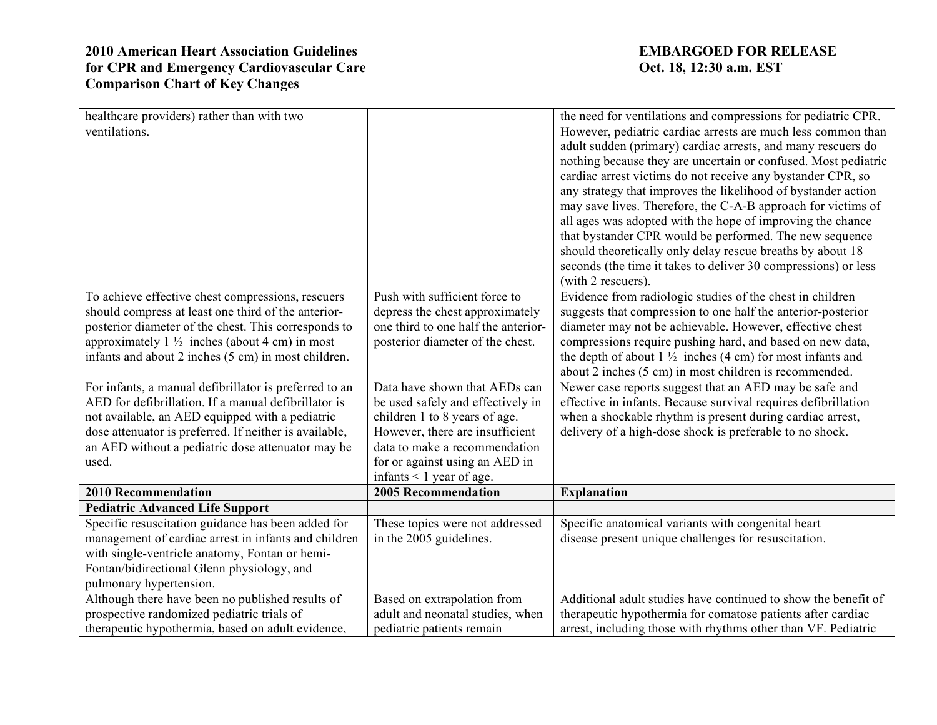| healthcare providers) rather than with two<br>ventilations.                                                                                                                                                                                                                               |                                                                                                                                                                                                                                            | the need for ventilations and compressions for pediatric CPR.<br>However, pediatric cardiac arrests are much less common than<br>adult sudden (primary) cardiac arrests, and many rescuers do<br>nothing because they are uncertain or confused. Most pediatric<br>cardiac arrest victims do not receive any bystander CPR, so<br>any strategy that improves the likelihood of bystander action<br>may save lives. Therefore, the C-A-B approach for victims of<br>all ages was adopted with the hope of improving the chance<br>that bystander CPR would be performed. The new sequence |
|-------------------------------------------------------------------------------------------------------------------------------------------------------------------------------------------------------------------------------------------------------------------------------------------|--------------------------------------------------------------------------------------------------------------------------------------------------------------------------------------------------------------------------------------------|------------------------------------------------------------------------------------------------------------------------------------------------------------------------------------------------------------------------------------------------------------------------------------------------------------------------------------------------------------------------------------------------------------------------------------------------------------------------------------------------------------------------------------------------------------------------------------------|
|                                                                                                                                                                                                                                                                                           |                                                                                                                                                                                                                                            | should theoretically only delay rescue breaths by about 18<br>seconds (the time it takes to deliver 30 compressions) or less<br>(with 2 rescuers).                                                                                                                                                                                                                                                                                                                                                                                                                                       |
| To achieve effective chest compressions, rescuers<br>should compress at least one third of the anterior-<br>posterior diameter of the chest. This corresponds to<br>approximately $1\frac{1}{2}$ inches (about 4 cm) in most<br>infants and about 2 inches (5 cm) in most children.       | Push with sufficient force to<br>depress the chest approximately<br>one third to one half the anterior-<br>posterior diameter of the chest.                                                                                                | Evidence from radiologic studies of the chest in children<br>suggests that compression to one half the anterior-posterior<br>diameter may not be achievable. However, effective chest<br>compressions require pushing hard, and based on new data,<br>the depth of about $1\frac{1}{2}$ inches (4 cm) for most infants and<br>about 2 inches (5 cm) in most children is recommended.                                                                                                                                                                                                     |
| For infants, a manual defibrillator is preferred to an<br>AED for defibrillation. If a manual defibrillator is<br>not available, an AED equipped with a pediatric<br>dose attenuator is preferred. If neither is available,<br>an AED without a pediatric dose attenuator may be<br>used. | Data have shown that AEDs can<br>be used safely and effectively in<br>children 1 to 8 years of age.<br>However, there are insufficient<br>data to make a recommendation<br>for or against using an AED in<br>infants $\leq 1$ year of age. | Newer case reports suggest that an AED may be safe and<br>effective in infants. Because survival requires defibrillation<br>when a shockable rhythm is present during cardiac arrest,<br>delivery of a high-dose shock is preferable to no shock.                                                                                                                                                                                                                                                                                                                                        |
| <b>2010 Recommendation</b>                                                                                                                                                                                                                                                                | <b>2005 Recommendation</b>                                                                                                                                                                                                                 | <b>Explanation</b>                                                                                                                                                                                                                                                                                                                                                                                                                                                                                                                                                                       |
| <b>Pediatric Advanced Life Support</b><br>Specific resuscitation guidance has been added for<br>management of cardiac arrest in infants and children<br>with single-ventricle anatomy, Fontan or hemi-<br>Fontan/bidirectional Glenn physiology, and<br>pulmonary hypertension.           | These topics were not addressed<br>in the 2005 guidelines.                                                                                                                                                                                 | Specific anatomical variants with congenital heart<br>disease present unique challenges for resuscitation.                                                                                                                                                                                                                                                                                                                                                                                                                                                                               |
| Although there have been no published results of<br>prospective randomized pediatric trials of<br>therapeutic hypothermia, based on adult evidence,                                                                                                                                       | Based on extrapolation from<br>adult and neonatal studies, when<br>pediatric patients remain                                                                                                                                               | Additional adult studies have continued to show the benefit of<br>therapeutic hypothermia for comatose patients after cardiac<br>arrest, including those with rhythms other than VF. Pediatric                                                                                                                                                                                                                                                                                                                                                                                           |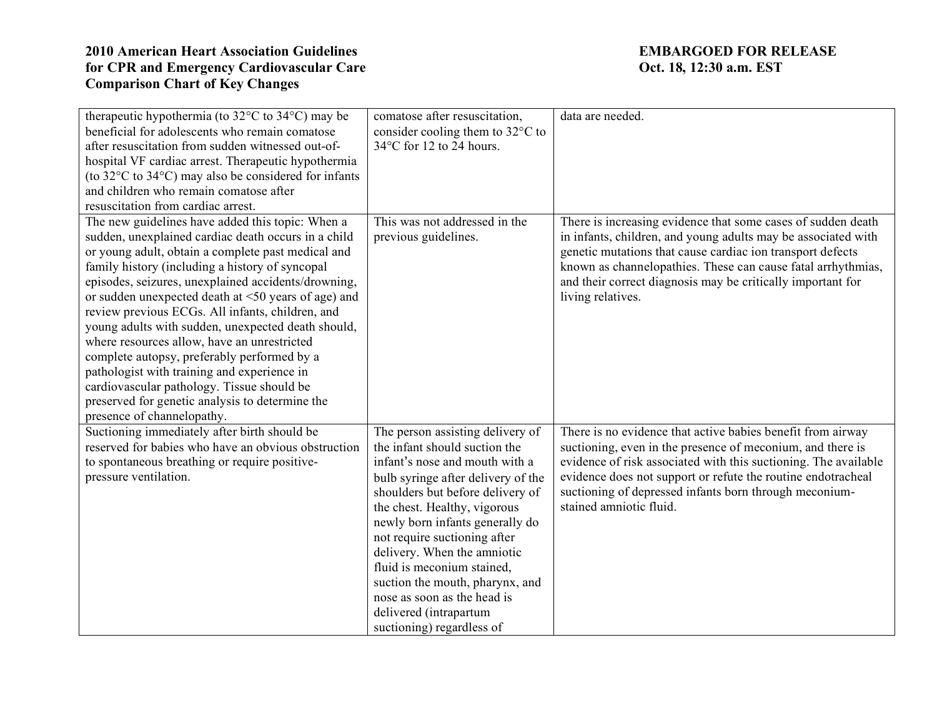| therapeutic hypothermia (to $32^{\circ}$ C to $34^{\circ}$ C) may be     | comatose after resuscitation,      | data are needed.                                                |
|--------------------------------------------------------------------------|------------------------------------|-----------------------------------------------------------------|
| beneficial for adolescents who remain comatose                           | consider cooling them to 32°C to   |                                                                 |
| after resuscitation from sudden witnessed out-of-                        | 34°C for 12 to 24 hours.           |                                                                 |
| hospital VF cardiac arrest. Therapeutic hypothermia                      |                                    |                                                                 |
| (to $32^{\circ}$ C to $34^{\circ}$ C) may also be considered for infants |                                    |                                                                 |
| and children who remain comatose after                                   |                                    |                                                                 |
| resuscitation from cardiac arrest.                                       |                                    |                                                                 |
| The new guidelines have added this topic: When a                         | This was not addressed in the      | There is increasing evidence that some cases of sudden death    |
| sudden, unexplained cardiac death occurs in a child                      | previous guidelines.               | in infants, children, and young adults may be associated with   |
| or young adult, obtain a complete past medical and                       |                                    | genetic mutations that cause cardiac ion transport defects      |
| family history (including a history of syncopal                          |                                    | known as channelopathies. These can cause fatal arrhythmias,    |
| episodes, seizures, unexplained accidents/drowning,                      |                                    | and their correct diagnosis may be critically important for     |
| or sudden unexpected death at $\leq 50$ years of age) and                |                                    | living relatives.                                               |
| review previous ECGs. All infants, children, and                         |                                    |                                                                 |
| young adults with sudden, unexpected death should,                       |                                    |                                                                 |
| where resources allow, have an unrestricted                              |                                    |                                                                 |
| complete autopsy, preferably performed by a                              |                                    |                                                                 |
| pathologist with training and experience in                              |                                    |                                                                 |
| cardiovascular pathology. Tissue should be                               |                                    |                                                                 |
| preserved for genetic analysis to determine the                          |                                    |                                                                 |
| presence of channelopathy.                                               |                                    |                                                                 |
| Suctioning immediately after birth should be                             | The person assisting delivery of   | There is no evidence that active babies benefit from airway     |
| reserved for babies who have an obvious obstruction                      | the infant should suction the      | suctioning, even in the presence of meconium, and there is      |
| to spontaneous breathing or require positive-                            | infant's nose and mouth with a     | evidence of risk associated with this suctioning. The available |
| pressure ventilation.                                                    | bulb syringe after delivery of the | evidence does not support or refute the routine endotracheal    |
|                                                                          | shoulders but before delivery of   | suctioning of depressed infants born through meconium-          |
|                                                                          | the chest. Healthy, vigorous       | stained amniotic fluid.                                         |
|                                                                          | newly born infants generally do    |                                                                 |
|                                                                          | not require suctioning after       |                                                                 |
|                                                                          | delivery. When the amniotic        |                                                                 |
|                                                                          | fluid is meconium stained.         |                                                                 |
|                                                                          | suction the mouth, pharynx, and    |                                                                 |
|                                                                          | nose as soon as the head is        |                                                                 |
|                                                                          | delivered (intrapartum             |                                                                 |
|                                                                          | suctioning) regardless of          |                                                                 |
|                                                                          |                                    |                                                                 |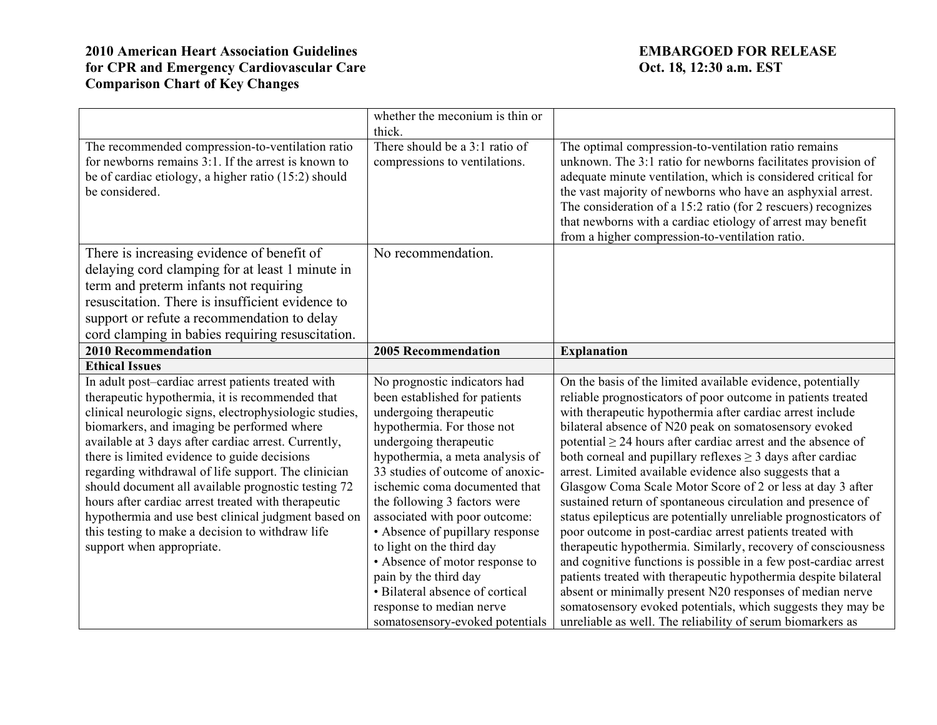|                                                                        | whether the meconium is thin or                             |                                                                                                                              |
|------------------------------------------------------------------------|-------------------------------------------------------------|------------------------------------------------------------------------------------------------------------------------------|
|                                                                        | thick.                                                      |                                                                                                                              |
| The recommended compression-to-ventilation ratio                       | There should be a 3:1 ratio of                              | The optimal compression-to-ventilation ratio remains                                                                         |
| for newborns remains 3:1. If the arrest is known to                    | compressions to ventilations.                               | unknown. The 3:1 ratio for newborns facilitates provision of                                                                 |
| be of cardiac etiology, a higher ratio (15:2) should<br>be considered. |                                                             | adequate minute ventilation, which is considered critical for                                                                |
|                                                                        |                                                             | the vast majority of newborns who have an asphyxial arrest.<br>The consideration of a 15:2 ratio (for 2 rescuers) recognizes |
|                                                                        |                                                             | that newborns with a cardiac etiology of arrest may benefit                                                                  |
|                                                                        |                                                             | from a higher compression-to-ventilation ratio.                                                                              |
| There is increasing evidence of benefit of                             | No recommendation.                                          |                                                                                                                              |
| delaying cord clamping for at least 1 minute in                        |                                                             |                                                                                                                              |
| term and preterm infants not requiring                                 |                                                             |                                                                                                                              |
| resuscitation. There is insufficient evidence to                       |                                                             |                                                                                                                              |
| support or refute a recommendation to delay                            |                                                             |                                                                                                                              |
| cord clamping in babies requiring resuscitation.                       |                                                             |                                                                                                                              |
| <b>2010 Recommendation</b>                                             | <b>2005 Recommendation</b>                                  | <b>Explanation</b>                                                                                                           |
| <b>Ethical Issues</b>                                                  |                                                             |                                                                                                                              |
| In adult post-cardiac arrest patients treated with                     | No prognostic indicators had                                | On the basis of the limited available evidence, potentially                                                                  |
| therapeutic hypothermia, it is recommended that                        | been established for patients                               | reliable prognosticators of poor outcome in patients treated                                                                 |
| clinical neurologic signs, electrophysiologic studies,                 | undergoing therapeutic                                      | with therapeutic hypothermia after cardiac arrest include                                                                    |
| biomarkers, and imaging be performed where                             | hypothermia. For those not                                  | bilateral absence of N20 peak on somatosensory evoked                                                                        |
| available at 3 days after cardiac arrest. Currently,                   | undergoing therapeutic                                      | potential $\geq$ 24 hours after cardiac arrest and the absence of                                                            |
| there is limited evidence to guide decisions                           | hypothermia, a meta analysis of                             | both corneal and pupillary reflexes $\geq$ 3 days after cardiac                                                              |
| regarding withdrawal of life support. The clinician                    | 33 studies of outcome of anoxic-                            | arrest. Limited available evidence also suggests that a                                                                      |
| should document all available prognostic testing 72                    | ischemic coma documented that                               | Glasgow Coma Scale Motor Score of 2 or less at day 3 after                                                                   |
| hours after cardiac arrest treated with therapeutic                    | the following 3 factors were                                | sustained return of spontaneous circulation and presence of                                                                  |
| hypothermia and use best clinical judgment based on                    | associated with poor outcome:                               | status epilepticus are potentially unreliable prognosticators of                                                             |
| this testing to make a decision to withdraw life                       | • Absence of pupillary response                             | poor outcome in post-cardiac arrest patients treated with                                                                    |
| support when appropriate.                                              | to light on the third day                                   | therapeutic hypothermia. Similarly, recovery of consciousness                                                                |
|                                                                        | • Absence of motor response to                              | and cognitive functions is possible in a few post-cardiac arrest                                                             |
|                                                                        |                                                             |                                                                                                                              |
|                                                                        | pain by the third day                                       | patients treated with therapeutic hypothermia despite bilateral                                                              |
|                                                                        | • Bilateral absence of cortical                             | absent or minimally present N20 responses of median nerve                                                                    |
|                                                                        | response to median nerve<br>somatosensory-evoked potentials | somatosensory evoked potentials, which suggests they may be<br>unreliable as well. The reliability of serum biomarkers as    |